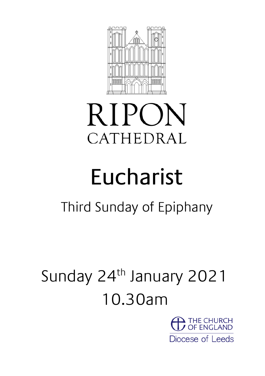

# **RIPON** CATHEDRAL

# Eucharist

# Third Sunday of Epiphany

# Sunday 24<sup>th</sup> January 2021 10.30am

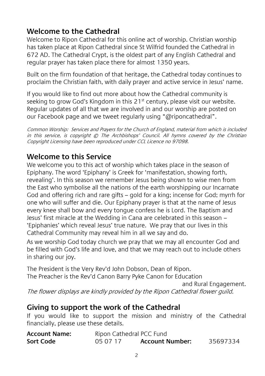#### **Welcome to the Cathedral**

Welcome to Ripon Cathedral for this online act of worship. Christian worship has taken place at Ripon Cathedral since St Wilfrid founded the Cathedral in 672 AD. The Cathedral Crypt, is the oldest part of any English Cathedral and regular prayer has taken place there for almost 1350 years.

Built on the firm foundation of that heritage, the Cathedral today continues to proclaim the Christian faith, with daily prayer and active service in Jesus' name.

If you would like to find out more about how the Cathedral community is seeking to grow God's Kingdom in this 21<sup>st</sup> century, please visit our website. Regular updates of all that we are involved in and our worship are posted on our Facebook page and we tweet regularly using "@riponcathedral".

Common Worship: Services and Prayers for the Church of England, material from which is included in this service, is copyright © The Archbishops' Council. All hymns covered by the Christian Copyright Licensing have been reproduced under CCL Licence no 97098.

#### **Welcome to this Service**

We welcome you to this act of worship which takes place in the season of Epiphany. The word 'Epiphany' is Greek for 'manifestation, showing forth, revealing'. In this season we remember Jesus being shown to wise men from the East who symbolise all the nations of the earth worshipping our Incarnate God and offering rich and rare gifts – gold for a king; incense for God; myrrh for one who will suffer and die. Our Epiphany prayer is that at the name of Jesus every knee shall bow and every tongue confess he is Lord. The Baptism and Jesus' first miracle at the Wedding in Cana are celebrated in this season – 'Epiphanies' which reveal Jesus' true nature. We pray that our lives in this Cathedral Community may reveal him in all we say and do.

As we worship God today church we pray that we may all encounter God and be filled with God's life and love, and that we may reach out to include others in sharing our joy.

The President is the Very Rev'd John Dobson, Dean of Ripon. The Preacher is the Rev'd Canon Barry Pyke Canon for Education

and Rural Engagement.

The flower displays are kindly provided by the Ripon Cathedral flower guild.

#### **Giving to support the work of the Cathedral**

If you would like to support the mission and ministry of the Cathedral financially, please use these details.

| <b>Account Name:</b> | Ripon Cathedral PCC Fund |                        |          |
|----------------------|--------------------------|------------------------|----------|
| Sort Code            | 05 07 17                 | <b>Account Number:</b> | 35697334 |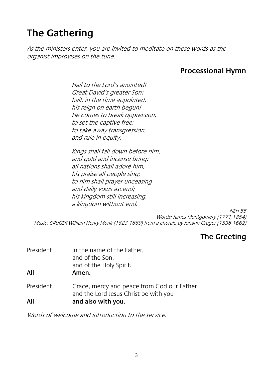# **The Gathering**

As the ministers enter, you are invited to meditate on these words as the organist improvises on the tune.

#### **Processional Hymn**

Hail to the Lord's anointed! Great David's greater Son; hail, in the time appointed, his reign on earth begun! He comes to break oppression, to set the captive free; to take away transgression, and rule in equity.

Kings shall fall down before him, and gold and incense bring; all nations shall adore him, his praise all people sing; to him shall prayer unceasing and daily vows ascend; his kingdom still increasing, a kingdom without end.

NEH 55 Words: James Montgomery (1771-1854) Music: CRUGER William Henry Monk (1823-1889) from a chorale by Johann Cruger (1598-1662)

#### **The Greeting**

| President<br>All | In the name of the Father,<br>and of the Son,<br>and of the Holy Spirit.<br>Amen.                         |
|------------------|-----------------------------------------------------------------------------------------------------------|
| President<br>All | Grace, mercy and peace from God our Father<br>and the Lord Jesus Christ be with you<br>and also with you. |
|                  |                                                                                                           |

Words of welcome and introduction to the service.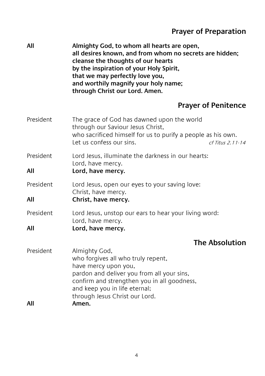## **Prayer of Preparation**

| All              | Almighty God, to whom all hearts are open,<br>all desires known, and from whom no secrets are hidden;<br>cleanse the thoughts of our hearts<br>by the inspiration of your Holy Spirit,<br>that we may perfectly love you,<br>and worthily magnify your holy name;<br>through Christ our Lord. Amen. |
|------------------|-----------------------------------------------------------------------------------------------------------------------------------------------------------------------------------------------------------------------------------------------------------------------------------------------------|
|                  | <b>Prayer of Penitence</b>                                                                                                                                                                                                                                                                          |
| President        | The grace of God has dawned upon the world<br>through our Saviour Jesus Christ,<br>who sacrificed himself for us to purify a people as his own.<br>Let us confess our sins.<br>cf Titus 2.11-14                                                                                                     |
| President<br>All | Lord Jesus, illuminate the darkness in our hearts:<br>Lord, have mercy.<br>Lord, have mercy.                                                                                                                                                                                                        |
| President<br>All | Lord Jesus, open our eyes to your saving love:<br>Christ, have mercy.<br>Christ, have mercy.                                                                                                                                                                                                        |
| President<br>All | Lord Jesus, unstop our ears to hear your living word:<br>Lord, have mercy.<br>Lord, have mercy.                                                                                                                                                                                                     |
|                  | <b>The Absolution</b>                                                                                                                                                                                                                                                                               |
| President<br>All | Almighty God,<br>who forgives all who truly repent,<br>have mercy upon you,<br>pardon and deliver you from all your sins,<br>confirm and strengthen you in all goodness,<br>and keep you in life eternal;<br>through Jesus Christ our Lord.<br>Amen.                                                |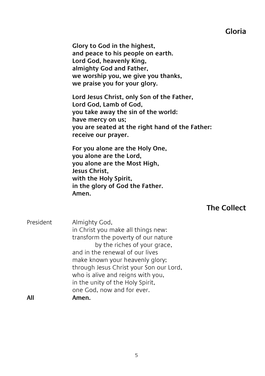#### **Gloria**

**Glory to God in the highest, and peace to his people on earth. Lord God, heavenly King, almighty God and Father, we worship you, we give you thanks, we praise you for your glory.**

**Lord Jesus Christ, only Son of the Father, Lord God, Lamb of God, you take away the sin of the world: have mercy on us; you are seated at the right hand of the Father: receive our prayer.**

**For you alone are the Holy One, you alone are the Lord, you alone are the Most High, Jesus Christ, with the Holy Spirit, in the glory of God the Father. Amen.**

#### **The Collect**

President Almighty God, in Christ you make all things new: transform the poverty of our nature by the riches of your grace, and in the renewal of our lives make known your heavenly glory; through Jesus Christ your Son our Lord, who is alive and reigns with you, in the unity of the Holy Spirit, one God, now and for ever. **All Amen.**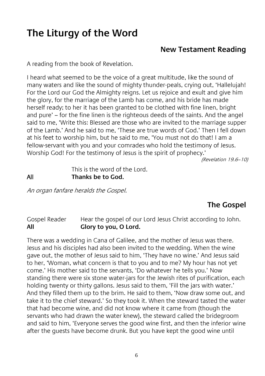# **The Liturgy of the Word**

#### **New Testament Reading**

A reading from the book of Revelation.

I heard what seemed to be the voice of a great multitude, like the sound of many waters and like the sound of mighty thunder-peals, crying out, 'Hallelujah! For the Lord our God the Almighty reigns. Let us rejoice and exult and give him the glory, for the marriage of the Lamb has come, and his bride has made herself ready; to her it has been granted to be clothed with fine linen, bright and pure' – for the fine linen is the righteous deeds of the saints. And the angel said to me, 'Write this: Blessed are those who are invited to the marriage supper of the Lamb.' And he said to me, 'These are true words of God.' Then I fell down at his feet to worship him, but he said to me, 'You must not do that! I am a fellow-servant with you and your comrades who hold the testimony of Jesus. Worship God! For the testimony of Jesus is the spirit of prophecy.'

(Revelation 19.6–10)

This is the word of the Lord. All **Thanks be to God.**

An organ fanfare heralds the Gospel.

#### **The Gospel**

Gospel Reader Hear the gospel of our Lord Jesus Christ according to John. **All Glory to you, O Lord.**

There was a wedding in Cana of Galilee, and the mother of Jesus was there. Jesus and his disciples had also been invited to the wedding. When the wine gave out, the mother of Jesus said to him, 'They have no wine.' And Jesus said to her, 'Woman, what concern is that to you and to me? My hour has not yet come.' His mother said to the servants, 'Do whatever he tells you.' Now standing there were six stone water-jars for the Jewish rites of purification, each holding twenty or thirty gallons. Jesus said to them, 'Fill the jars with water.' And they filled them up to the brim. He said to them, 'Now draw some out, and take it to the chief steward.' So they took it. When the steward tasted the water that had become wine, and did not know where it came from (though the servants who had drawn the water knew), the steward called the bridegroom and said to him, 'Everyone serves the good wine first, and then the inferior wine after the guests have become drunk. But you have kept the good wine until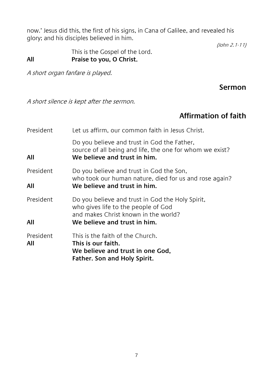now.' Jesus did this, the first of his signs, in Cana of Galilee, and revealed his glory; and his disciples believed in him.

(John 2.1-11)

This is the Gospel of the Lord. **All Praise to you, O Christ**.

A short organ fanfare is played.

**Sermon**

A short silence is kept after the sermon.

#### **Affirmation of faith**

| President        | Let us affirm, our common faith in Jesus Christ.                                                                                        |
|------------------|-----------------------------------------------------------------------------------------------------------------------------------------|
| All              | Do you believe and trust in God the Father,<br>source of all being and life, the one for whom we exist?<br>We believe and trust in him. |
| President        | Do you believe and trust in God the Son,<br>who took our human nature, died for us and rose again?                                      |
| All              | We believe and trust in him.                                                                                                            |
| President        | Do you believe and trust in God the Holy Spirit,<br>who gives life to the people of God<br>and makes Christ known in the world?         |
| All              | We believe and trust in him.                                                                                                            |
| President<br>All | This is the faith of the Church.<br>This is our faith.<br>We believe and trust in one God,<br>Father. Son and Holy Spirit.              |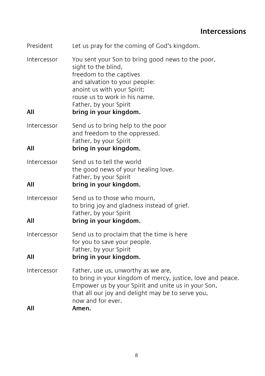#### **Intercessions**

| President          | Let us pray for the coming of God's kingdom.                                                                                                                                                                                                             |
|--------------------|----------------------------------------------------------------------------------------------------------------------------------------------------------------------------------------------------------------------------------------------------------|
| Intercessor<br>All | You sent your Son to bring good news to the poor,<br>sight to the blind,<br>freedom to the captives<br>and salvation to your people:<br>anoint us with your Spirit;<br>rouse us to work in his name.<br>Father, by your Spirit<br>bring in your kingdom. |
| Intercessor<br>All | Send us to bring help to the poor<br>and freedom to the oppressed.<br>Father, by your Spirit<br>bring in your kingdom.                                                                                                                                   |
| Intercessor<br>All | Send us to tell the world<br>the good news of your healing love.<br>Father, by your Spirit<br>bring in your kingdom.                                                                                                                                     |
| Intercessor<br>All | Send us to those who mourn,<br>to bring joy and gladness instead of grief.<br>Father, by your Spirit<br>bring in your kingdom.                                                                                                                           |
| Intercessor<br>All | Send us to proclaim that the time is here<br>for you to save your people.<br>Father, by your Spirit<br>bring in your kingdom.                                                                                                                            |
| Intercessor<br>All | Father, use us, unworthy as we are,<br>to bring in your kingdom of mercy, justice, love and peace.<br>Empower us by your Spirit and unite us in your Son,<br>that all our joy and delight may be to serve you,<br>now and for ever.<br>Amen.             |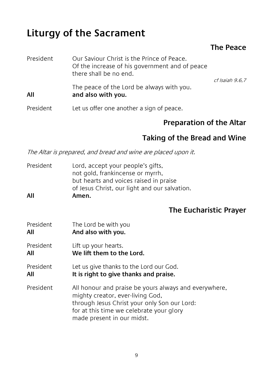# **Liturgy of the Sacrament**

#### **The Peace**

| President | Our Saviour Christ is the Prince of Peace.<br>Of the increase of his government and of peace<br>there shall be no end. | cf Isaiah 9.6.7 |
|-----------|------------------------------------------------------------------------------------------------------------------------|-----------------|
| All       | The peace of the Lord be always with you.<br>and also with you.                                                        |                 |
| President | Let us offer one another a sign of peace.                                                                              |                 |

#### **Preparation of the Altar**

#### **Taking of the Bread and Wine**

The Altar is prepared, and bread and wine are placed upon it.

|     | not gold, frankincense or myrrh,              |
|-----|-----------------------------------------------|
|     | but hearts and voices raised in praise        |
|     | of Jesus Christ, our light and our salvation. |
| All | Amen.                                         |

#### **The Eucharistic Prayer**

President The Lord be with you<br>All also with you **All And also with you.** President Lift up your hearts. **All We lift them to the Lord.** President Let us give thanks to the Lord our God. **All It is right to give thanks and praise.** President All honour and praise be yours always and everywhere, mighty creator, ever-living God, through Jesus Christ your only Son our Lord: for at this time we celebrate your glory made present in our midst.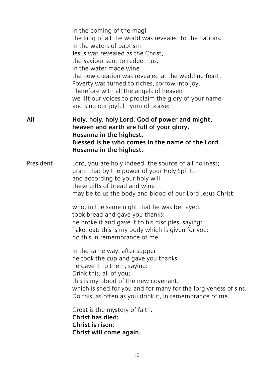|           | In the coming of the magi<br>the King of all the world was revealed to the nations.<br>In the waters of baptism<br>Jesus was revealed as the Christ,<br>the Saviour sent to redeem us.<br>In the water made wine<br>the new creation was revealed at the wedding feast.<br>Poverty was turned to riches, sorrow into joy.<br>Therefore with all the angels of heaven<br>we lift our voices to proclaim the glory of your name<br>and sing our joyful hymn of praise: |
|-----------|----------------------------------------------------------------------------------------------------------------------------------------------------------------------------------------------------------------------------------------------------------------------------------------------------------------------------------------------------------------------------------------------------------------------------------------------------------------------|
| All       | Holy, holy, holy Lord, God of power and might,<br>heaven and earth are full of your glory.<br>Hosanna in the highest.<br>Blessed is he who comes in the name of the Lord.<br>Hosanna in the highest.                                                                                                                                                                                                                                                                 |
| President | Lord, you are holy indeed, the source of all holiness;<br>grant that by the power of your Holy Spirit,<br>and according to your holy will,<br>these gifts of bread and wine<br>may be to us the body and blood of our Lord Jesus Christ;                                                                                                                                                                                                                             |
|           | who, in the same night that he was betrayed,<br>took bread and gave you thanks;<br>he broke it and gave it to his disciples, saying:<br>Take, eat; this is my body which is given for you;<br>do this in remembrance of me.                                                                                                                                                                                                                                          |
|           | In the same way, after supper<br>he took the cup and gave you thanks;<br>he gave it to them, saying:<br>Drink this, all of you;<br>this is my blood of the new covenant,<br>which is shed for you and for many for the forgiveness of sins.<br>Do this, as often as you drink it, in remembrance of me.                                                                                                                                                              |
|           | Great is the mystery of faith.<br>Christ has died:<br>Christ is risen:<br>Christ will come again.                                                                                                                                                                                                                                                                                                                                                                    |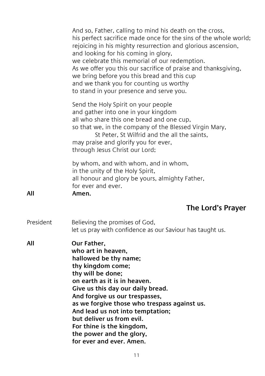|           | And so, Father, calling to mind his death on the cross,<br>his perfect sacrifice made once for the sins of the whole world;<br>rejoicing in his mighty resurrection and glorious ascension,<br>and looking for his coming in glory,<br>we celebrate this memorial of our redemption.<br>As we offer you this our sacrifice of praise and thanksgiving,<br>we bring before you this bread and this cup<br>and we thank you for counting us worthy<br>to stand in your presence and serve you. |
|-----------|----------------------------------------------------------------------------------------------------------------------------------------------------------------------------------------------------------------------------------------------------------------------------------------------------------------------------------------------------------------------------------------------------------------------------------------------------------------------------------------------|
|           | Send the Holy Spirit on your people<br>and gather into one in your kingdom<br>all who share this one bread and one cup,<br>so that we, in the company of the Blessed Virgin Mary,<br>St Peter, St Wilfrid and the all the saints,<br>may praise and glorify you for ever,<br>through Jesus Christ our Lord;                                                                                                                                                                                  |
| All       | by whom, and with whom, and in whom,<br>in the unity of the Holy Spirit,<br>all honour and glory be yours, almighty Father,<br>for ever and ever.<br>Amen.                                                                                                                                                                                                                                                                                                                                   |
|           | The Lord's Prayer                                                                                                                                                                                                                                                                                                                                                                                                                                                                            |
| President | Believing the promises of God,<br>let us pray with confidence as our Saviour has taught us.                                                                                                                                                                                                                                                                                                                                                                                                  |
| All       | Our Father.<br>who art in heaven,<br>hallowed be thy name;<br>thy kingdom come;<br>thy will be done;<br>on earth as it is in heaven.<br>Give us this day our daily bread.<br>And forgive us our trespasses,<br>as we forgive those who trespass against us.<br>And lead us not into temptation;<br>but deliver us from evil.<br>For thine is the kingdom,<br>the power and the glory,<br>for ever and ever. Amen.                                                                            |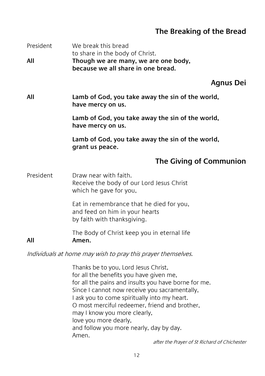#### **The Breaking of the Bread**

| President<br>All                                             | We break this bread<br>to share in the body of Christ.<br>Though we are many, we are one body,<br>because we all share in one bread. |
|--------------------------------------------------------------|--------------------------------------------------------------------------------------------------------------------------------------|
|                                                              | <b>Agnus Dei</b>                                                                                                                     |
| All                                                          | Lamb of God, you take away the sin of the world,<br>have mercy on us.                                                                |
|                                                              | Lamb of God, you take away the sin of the world,<br>have mercy on us.                                                                |
|                                                              | Lamb of God, you take away the sin of the world,<br>grant us peace.                                                                  |
|                                                              | The Giving of Communion                                                                                                              |
| President                                                    | Draw near with faith.<br>Receive the body of our Lord Jesus Christ<br>which he gave for you,                                         |
|                                                              | Eat in remembrance that he died for you,<br>and feed on him in your hearts<br>by faith with thanksgiving.                            |
| All                                                          | The Body of Christ keep you in eternal life<br>Amen.                                                                                 |
| Individuals at home may wish to pray this prayer themselves. |                                                                                                                                      |
|                                                              | Thanks be to you, Lord Jesus Christ,<br>for all the benefits you have given me,                                                      |

for all the pains and insults you have borne for me.

Since I cannot now receive you sacramentally,

I ask you to come spiritually into my heart.

O most merciful redeemer, friend and brother,

may I know you more clearly,

love you more dearly,

and follow you more nearly, day by day.

Amen.

after the Prayer of St Richard of Chichester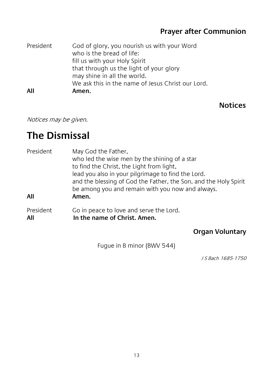#### **Prayer after Communion**

| President | God of glory, you nourish us with your Word<br>who is the bread of life:<br>fill us with your Holy Spirit<br>that through us the light of your glory<br>may shine in all the world.<br>We ask this in the name of Jesus Christ our Lord. |
|-----------|------------------------------------------------------------------------------------------------------------------------------------------------------------------------------------------------------------------------------------------|
| All       | Amen.                                                                                                                                                                                                                                    |

#### **Notices**

Notices may be given.

## **The Dismissal**

| President        | May God the Father,<br>who led the wise men by the shining of a star<br>to find the Christ, the Light from light,<br>lead you also in your pilgrimage to find the Lord.<br>and the blessing of God the Father, the Son, and the Holy Spirit<br>be among you and remain with you now and always. |
|------------------|-------------------------------------------------------------------------------------------------------------------------------------------------------------------------------------------------------------------------------------------------------------------------------------------------|
| All              | Amen.                                                                                                                                                                                                                                                                                           |
| President<br>All | Go in peace to love and serve the Lord.<br>In the name of Christ. Amen.                                                                                                                                                                                                                         |

#### **Organ Voluntary**

Fugue in B minor (BWV 544)

J S Bach 1685-1750